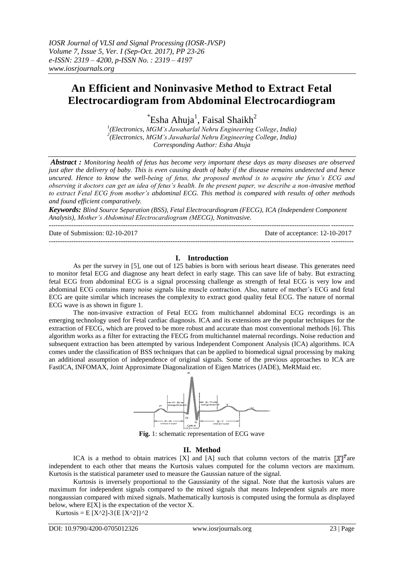---------------------------------------------------------------------------------------------------------------------------------------

# **An Efficient and Noninvasive Method to Extract Fetal Electrocardiogram from Abdominal Electrocardiogram**

 $\mathrm{``Esha}$  Ahuja $\mathrm{l}$ , Faisal Shaikh $\mathrm{^{2}}$ 

*1 (Electronics, MGM's Jawaharlal Nehru Engineering College, India) 2 (Electronics, MGM's Jawaharlal Nehru Engineering College, India) Corresponding Author: Esha Ahuja*

*Abstract : Monitoring health of fetus has become very important these days as many diseases are observed just after the delivery of baby. This is even causing death of baby if the disease remains undetected and hence uncured. Hence to know the well-being of fetus, the proposed method is to acquire the fetus's ECG and observing it doctors can get an idea of fetus's health. In the present paper, we describe a non-invasive method to extract Fetal ECG from mother's abdominal ECG. This method is compared with results of other methods and found efficient comparatively.*

*Keywords: Blind Source Separation (BSS), Fetal Electrocardiogram (FECG), ICA (Independent Component Analysis), Mother's Abdominal Electrocardiogram (MECG), Noninvasive.*

Date of Submission: 02-10-2017 Date of acceptance: 12-10-2017 ---------------------------------------------------------------------------------------------------------------------------------------

## **I. Introduction**

As per the survey in [5], one out of 125 babies is born with serious heart disease. This generates need to monitor fetal ECG and diagnose any heart defect in early stage. This can save life of baby. But extracting fetal ECG from abdominal ECG is a signal processing challenge as strength of fetal ECG is very low and abdominal ECG contains many noise signals like muscle contraction. Also, nature of mother"s ECG and fetal ECG are quite similar which increases the complexity to extract good quality fetal ECG. The nature of normal ECG wave is as shown in figure 1.

The non-invasive extraction of Fetal ECG from multichannel abdominal ECG recordings is an emerging technology used for Fetal cardiac diagnosis. ICA and its extensions are the popular techniques for the extraction of FECG, which are proved to be more robust and accurate than most conventional methods [6]. This algorithm works as a filter for extracting the FECG from multichannel maternal recordings. Noise reduction and subsequent extraction has been attempted by various Independent Component Analysis (ICA) algorithms. ICA comes under the classification of BSS techniques that can be applied to biomedical signal processing by making an additional assumption of independence of original signals. Some of the previous approaches to ICA are FastICA, INFOMAX, Joint Approximate Diagonalization of Eigen Matrices (JADE), MeRMaid etc.



**Fig.** 1: schematic representation of ECG wave

## **II. Method**

ICA is a method to obtain matrices [X] and [A] such that column vectors of the matrix  $[X]^T$  are independent to each other that means the Kurtosis values computed for the column vectors are maximum. Kurtosis is the statistical parameter used to measure the Gaussian nature of the signal.

Kurtosis is inversely proportional to the Gaussianity of the signal. Note that the kurtosis values are maximum for independent signals compared to the mixed signals that means Independent signals are more nongaussian compared with mixed signals. Mathematically kurtosis is computed using the formula as displayed below, where  $E[X]$  is the expectation of the vector X.

Kurtosis = E [X^2]-3{E [X^2]}^2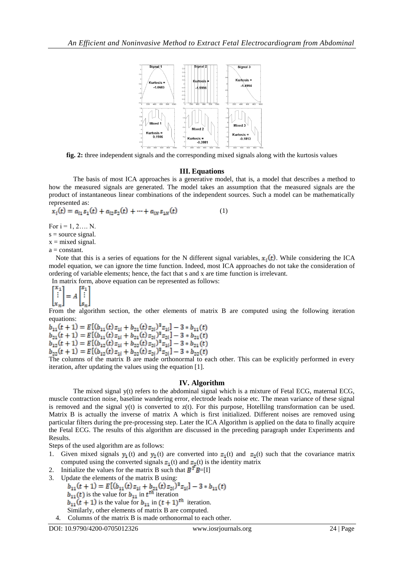

**fig. 2:** three independent signals and the corresponding mixed signals along with the kurtosis values

### **III. Equations**

The basis of most ICA approaches is a generative model, that is, a model that describes a method to how the measured signals are generated. The model takes an assumption that the measured signals are the product of instantaneous linear combinations of the independent sources. Such a model can be mathematically represented as:

$$
x_i(t) = a_{i1} s_1(t) + a_{i2} s_2(t) + \dots + a_{iN} s_{1N}(t)
$$
 (1)

For  $i = 1, 2, \dots N$ .

 $s = source signal$ .  $x = mixed signal$ .

a = constant.

Note that this is a series of equations for the N different signal variables,  $x_i(t)$ . While considering the ICA model equation, we can ignore the time function. Indeed, most ICA approaches do not take the consideration of ordering of variable elements; hence, the fact that s and x are time function is irrelevant.

In matrix form, above equation can be represented as follows:

$$
\begin{bmatrix} x_1 \\ \vdots \\ x_n \end{bmatrix} = A \begin{bmatrix} s_1 \\ \vdots \\ s_n \end{bmatrix}
$$

From the algorithm section, the other elements of matrix B are computed using the following iteration equations:

 $b_{11}(t + 1) = E[(b_{11}(t)z_{1i} + b_{21}(t)z_{2i})^3z_{1i}] - 3 * b_{11}(t)$  $b_{21}(t + 1) = E[(b_{11}(t)z_{1i} + b_{21}(t)z_{2i})^3z_{2i}] - 3 * b_{21}(t)$  $\begin{array}{l}\nb_{12}(t+1) = E\left[\left(b_{12}(t)z_{1i} + b_{22}(t)z_{2i}\right)^3 z_{1i}\right] - 3 * b_{21}(t) \\
b_{22}(t+1) = E\left[\left(b_{12}(t)z_{1i} + b_{22}(t)z_{2i}\right)^3 z_{2i}\right] - 3 * b_{22}(t)\n\end{array}$ The columns of the matrix B are made orthonormal to each other. This can be explici

iteration, after updating the values using the equation [1].

### **IV. Algorithm**

The mixed signal y(t) refers to the abdominal signal which is a mixture of Fetal ECG, maternal ECG, muscle contraction noise, baseline wandering error, electrode leads noise etc. The mean variance of these signal is removed and the signal  $y(t)$  is converted to  $z(t)$ . For this purpose, Hotellilng transformation can be used. Matrix B is actually the inverse of matrix A which is first initialized. Different noises are removed using particular filters during the pre-processing step. Later the ICA Algorithm is applied on the data to finally acquire the Fetal ECG. The results of this algorithm are discussed in the preceding paragraph under Experiments and Results.

Steps of the used algorithm are as follows:

- 1. Given mixed signals  $y_1(t)$  and  $y_2(t)$  are converted into  $z_1(t)$  and  $z_2(t)$  such that the covariance matrix computed using the converted signals  $z_1(t)$  and  $z_2(t)$  is the identity matrix
- 2. Initialize the values for the matrix B such that  $B^T B = [1]$
- 

3. Update the elements of the matrix B using:<br> $b_{11}(t + 1) = E[(b_{11}(t) z_{1i} + b_{21}(t) z_{2i})^3 z_{1i}] - 3 * b_{11}(t)$ 

 $b_{11}(t)$  is the value for  $b_{11}$  in  $t^{th}$  iteration

 $b_{11}(t + 1)$  is the value for  $b_{11}$  in  $(t + 1)$ <sup>th</sup> iteration.

- Similarly, other elements of matrix B are computed.
- 4. Columns of the matrix B is made orthonormal to each other.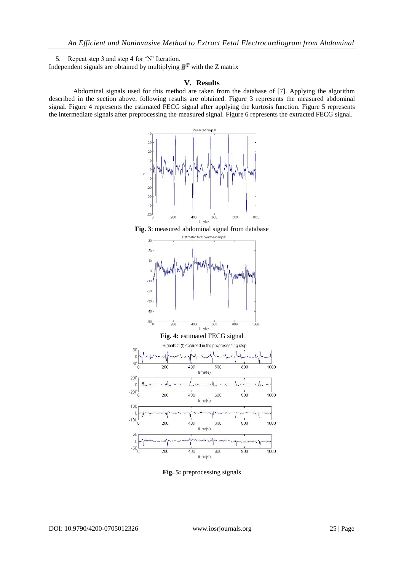5. Repeat step 3 and step 4 for "N" Iteration.

Independent signals are obtained by multiplying  $B<sup>T</sup>$  with the Z matrix

## **V. Results**

Abdominal signals used for this method are taken from the database of [7]. Applying the algorithm described in the section above, following results are obtained. Figure 3 represents the measured abdominal signal. Figure 4 represents the estimated FECG signal after applying the kurtosis function. Figure 5 represents the intermediate signals after preprocessing the measured signal. Figure 6 represents the extracted FECG signal.



**Fig. 5:** preprocessing signals